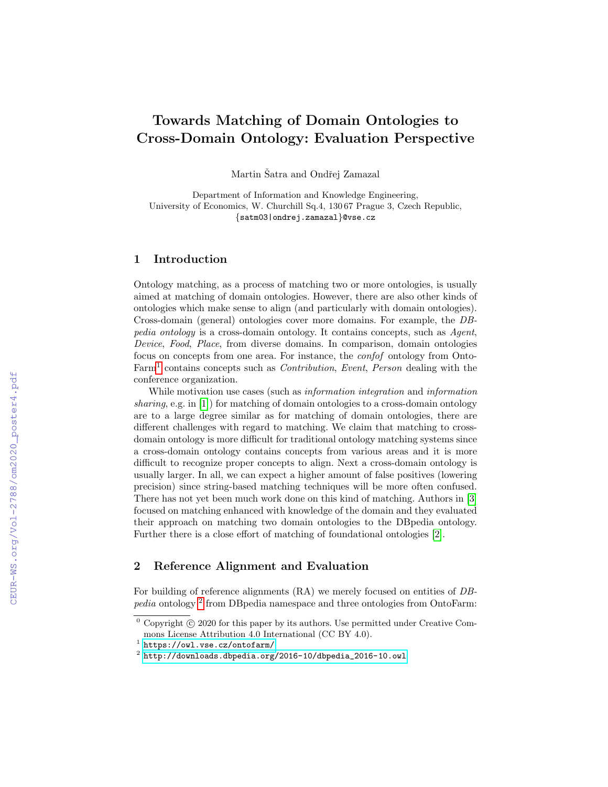# Towards Matching of Domain Ontologies to Cross-Domain Ontology: Evaluation Perspective

Martin Šatra and Ondřej Zamazal

Department of Information and Knowledge Engineering, University of Economics, W. Churchill Sq.4, 130 67 Prague 3, Czech Republic, {satm03|ondrej.zamazal}@vse.cz

## 1 Introduction

Ontology matching, as a process of matching two or more ontologies, is usually aimed at matching of domain ontologies. However, there are also other kinds of ontologies which make sense to align (and particularly with domain ontologies). Cross-domain (general) ontologies cover more domains. For example, the DBpedia ontology is a cross-domain ontology. It contains concepts, such as Agent, Device, Food, Place, from diverse domains. In comparison, domain ontologies focus on concepts from one area. For instance, the confof ontology from Onto-Farm<sup>[1](#page-0-0)</sup> contains concepts such as *Contribution*, *Event*, *Person* dealing with the conference organization.

While motivation use cases (such as information integration and information sharing, e.g. in [\[1\]](#page--1-0)) for matching of domain ontologies to a cross-domain ontology are to a large degree similar as for matching of domain ontologies, there are different challenges with regard to matching. We claim that matching to crossdomain ontology is more difficult for traditional ontology matching systems since a cross-domain ontology contains concepts from various areas and it is more difficult to recognize proper concepts to align. Next a cross-domain ontology is usually larger. In all, we can expect a higher amount of false positives (lowering precision) since string-based matching techniques will be more often confused. There has not yet been much work done on this kind of matching. Authors in [\[3\]](#page--1-1) focused on matching enhanced with knowledge of the domain and they evaluated their approach on matching two domain ontologies to the DBpedia ontology. Further there is a close effort of matching of foundational ontologies [\[2\]](#page--1-2).

## 2 Reference Alignment and Evaluation

For building of reference alignments (RA) we merely focused on entities of DB-pedia ontology<sup>[2](#page-0-1)</sup> from DBpedia namespace and three ontologies from OntoFarm:

 $\overline{0}$  Copyright  $\overline{c}$  2020 for this paper by its authors. Use permitted under Creative Commons License Attribution 4.0 International (CC BY 4.0).

<span id="page-0-0"></span> $^{\rm 1}$  <https://owl.vse.cz/ontofarm/>

<span id="page-0-1"></span> $^{\rm 2}$  [http://downloads.dbpedia.org/2016-10/dbpedia\\_2016-10.owl](http://downloads.dbpedia.org/2016-10/dbpedia_2016-10.owl)